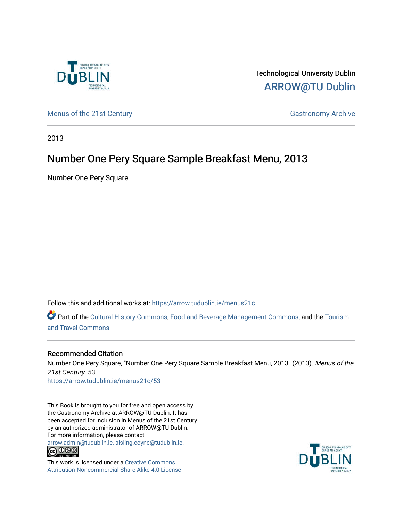

Technological University Dublin [ARROW@TU Dublin](https://arrow.tudublin.ie/) 

[Menus of the 21st Century](https://arrow.tudublin.ie/menus21c) Gastronomy Archive

2013

# Number One Pery Square Sample Breakfast Menu, 2013

Number One Pery Square

Follow this and additional works at: [https://arrow.tudublin.ie/menus21c](https://arrow.tudublin.ie/menus21c?utm_source=arrow.tudublin.ie%2Fmenus21c%2F53&utm_medium=PDF&utm_campaign=PDFCoverPages) 

Part of the [Cultural History Commons](http://network.bepress.com/hgg/discipline/496?utm_source=arrow.tudublin.ie%2Fmenus21c%2F53&utm_medium=PDF&utm_campaign=PDFCoverPages), [Food and Beverage Management Commons,](http://network.bepress.com/hgg/discipline/1089?utm_source=arrow.tudublin.ie%2Fmenus21c%2F53&utm_medium=PDF&utm_campaign=PDFCoverPages) and the [Tourism](http://network.bepress.com/hgg/discipline/1082?utm_source=arrow.tudublin.ie%2Fmenus21c%2F53&utm_medium=PDF&utm_campaign=PDFCoverPages) [and Travel Commons](http://network.bepress.com/hgg/discipline/1082?utm_source=arrow.tudublin.ie%2Fmenus21c%2F53&utm_medium=PDF&utm_campaign=PDFCoverPages)

## Recommended Citation

Number One Pery Square, "Number One Pery Square Sample Breakfast Menu, 2013" (2013). Menus of the 21st Century. 53. [https://arrow.tudublin.ie/menus21c/53](https://arrow.tudublin.ie/menus21c/53?utm_source=arrow.tudublin.ie%2Fmenus21c%2F53&utm_medium=PDF&utm_campaign=PDFCoverPages)

This Book is brought to you for free and open access by the Gastronomy Archive at ARROW@TU Dublin. It has been accepted for inclusion in Menus of the 21st Century by an authorized administrator of ARROW@TU Dublin. For more information, please contact

[arrow.admin@tudublin.ie, aisling.coyne@tudublin.ie](mailto:arrow.admin@tudublin.ie,%20aisling.coyne@tudublin.ie).<br>
co 000



This work is licensed under a [Creative Commons](http://creativecommons.org/licenses/by-nc-sa/4.0/) [Attribution-Noncommercial-Share Alike 4.0 License](http://creativecommons.org/licenses/by-nc-sa/4.0/)